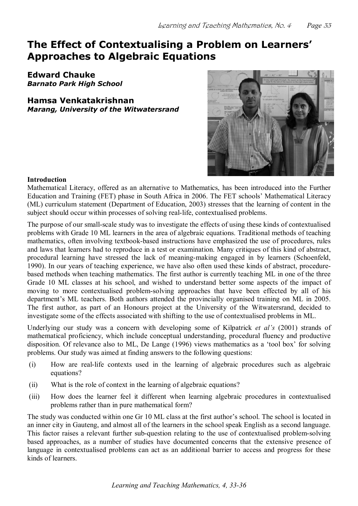# **The Effect of Contextualising a Problem on Learners' Approaches to Algebraic Equations**

**Edward Chauke** *Barnato Park High School*

**Hamsa Venkatakrishnan** *Marang, University of the Witwatersrand*



## **Introduction**

Mathematical Literacy, offered as an alternative to Mathematics, has been introduced into the Further Education and Training (FET) phase in South Africa in 2006. The FET schools' Mathematical Literacy (ML) curriculum statement (Department of Education, 2003) stresses that the learning of content in the subject should occur within processes of solving real-life, contextualised problems.

The purpose of our small-scale study was to investigate the effects of using these kinds of contextualised problems with Grade 10 ML learners in the area of algebraic equations. Traditional methods of teaching mathematics, often involving textbook-based instructions have emphasized the use of procedures, rules and laws that learners had to reproduce in a test or examination. Many critiques of this kind of abstract, procedural learning have stressed the lack of meaning-making engaged in by learners (Schoenfeld, 1990). In our years of teaching experience, we have also often used these kinds of abstract, procedure based methods when teaching mathematics. The first author is currently teaching ML in one of the three Grade 10 ML classes at his school, and wished to understand better some aspects of the impact of moving to more contextualised problem-solving approaches that have been effected by all of his department's ML teachers. Both authors attended the provincially organised training on ML in 2005. The first author, as part of an Honours project at the University of the Witwatersrand, decided to investigate some of the effects associated with shifting to the use of contextualised problems in ML.

Underlying our study was a concern with developing some of Kilpatrick *et al's* (2001) strands of mathematical proficiency, which include conceptual understanding, procedural fluency and productive disposition. Of relevance also to ML, De Lange (1996) views mathematics as a 'tool box' for solving problems. Our study was aimed at finding answers to the following questions:

- (i) How are reallife contexts used in the learning of algebraic procedures such as algebraic equations?
- (ii) What is the role of context in the learning of algebraic equations?
- (iii) How does the learner feel it different when learning algebraic procedures in contextualised problems rather than in pure mathematical form?

The study was conducted within one Gr 10 ML class at the first author's school. The school is located in an inner city in Gauteng, and almost all of the learners in the school speak English as a second language. This factor raises a relevant further sub-question relating to the use of contextualised problem-solving based approaches, as a number of studies have documented concerns that the extensive presence of language in contextualised problems can act as an additional barrier to access and progress for these kinds of learners.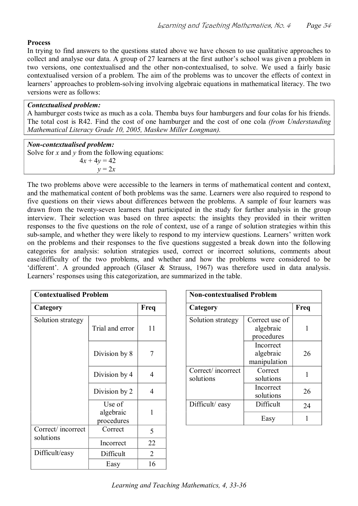# **Process**

In trying to find answers to the questions stated above we have chosen to use qualitative approaches to collect and analyse our data. A group of 27 learners at the first author's school was given a problem in two versions, one contextualised and the other non-contextualised, to solve. We used a fairly basic contextualised version of a problem. The aim of the problems was to uncover the effects of context in learners' approaches to problem-solving involving algebraic equations in mathematical literacy. The two versions were as follows:

#### *Contextualised problem:*

A hamburger costs twice as much as a cola. Themba buys four hamburgers and four colas for his friends. The total cost is R42. Find the cost of one hamburger and the cost of one cola *(from Understanding Mathematical Literacy Grade 10, 2005, Maskew Miller Longman).*

#### *Noncontextualised problem:*

Solve for *x* and *y* from the following equations:  $4x + 4y = 42$  $y = 2x$ 

The two problems above were accessible to the learners in terms of mathematical content and context, and the mathematical content of both problems was the same. Learners were also required to respond to five questions on their views about differences between the problems. A sample of four learners was drawn from the twenty-seven learners that participated in the study for further analysis in the group interview. Their selection was based on three aspects: the insights they provided in their written responses to the five questions on the role of context, use of a range of solution strategies within this sub-sample, and whether they were likely to respond to my interview questions. Learners' written work on the problems and their responses to the five questions suggested a break down into the following categories for analysis: solution strategies used, correct or incorrect solutions, comments about ease/difficulty of the two problems, and whether and how the problems were considered to be 'different'. A grounded approach (Glaser & Strauss, 1967) was therefore used in data analysis. Learners' responses using this categorization, are summarized in the table.

| <b>Contextualised Problem</b>  |                                   |                | <b>Non-contextualised Problem</b> |                                           |  |  |
|--------------------------------|-----------------------------------|----------------|-----------------------------------|-------------------------------------------|--|--|
| Category                       |                                   | Freq           | Category                          |                                           |  |  |
| Solution strategy              | Trial and error                   | 11             | Solution strategy                 | Correct use of<br>algebraic<br>procedures |  |  |
|                                | Division by 8                     | $\overline{7}$ |                                   | Incorrect<br>algebraic<br>manipulation    |  |  |
|                                | Division by 4                     | $\overline{4}$ | Correct/incorrect<br>solutions    | Correct<br>solutions                      |  |  |
|                                | Division by 2                     | $\overline{4}$ |                                   | Incorrect<br>solutions                    |  |  |
|                                | Use of<br>algebraic<br>procedures | 1              | Difficult/easy                    | Difficult<br>Easy                         |  |  |
| Correct/incorrect<br>solutions | Correct                           | 5              |                                   |                                           |  |  |
|                                | Incorrect                         | 22             |                                   |                                           |  |  |
| Difficult/easy                 | Difficult                         | $\overline{2}$ |                                   |                                           |  |  |
|                                | Easy                              | 16             |                                   |                                           |  |  |

| <b>Contextualised Problem</b> |                         |                | <b>Non-contextualised Problem</b> |                   |                                           |      |
|-------------------------------|-------------------------|----------------|-----------------------------------|-------------------|-------------------------------------------|------|
| Category                      |                         | Freq           | Category                          |                   |                                           | Freq |
| Solution strategy             | Trial and error         | 11             |                                   | Solution strategy | Correct use of<br>algebraic<br>procedures |      |
|                               | Division by 8           | 7              |                                   |                   | Incorrect<br>algebraic<br>manipulation    | 26   |
|                               | Division by 4           | $\overline{4}$ | solutions                         | Correct/incorrect | Correct<br>solutions                      |      |
|                               | Division by 2           | $\overline{4}$ |                                   |                   | Incorrect<br>solutions                    | 26   |
|                               | Use of                  |                |                                   | Difficult/easy    | Difficult                                 | 24   |
|                               | algebraic<br>procedures |                |                                   |                   | Easy                                      |      |
| $\sim$<br>$\cdot$ $\cdot$     |                         |                |                                   |                   |                                           |      |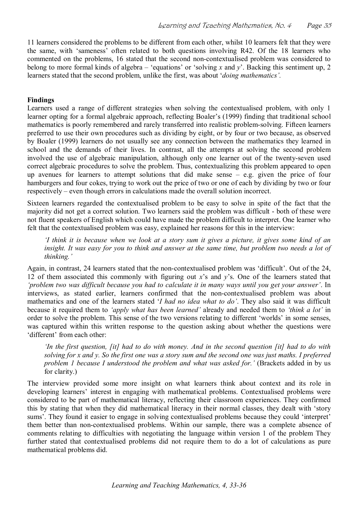11 learners considered the problems to be different from each other, whilst 10 learners felt that they were the same, with 'sameness' often related to both questions involving R42. Of the 18 learners who commented on the problems, 16 stated that the second non-contextualised problem was considered to belong to more formal kinds of algebra – 'equations' or 'solving *x* and *y*'. Backing this sentiment up, 2 learners stated that the second problem, unlike the first, was about '*doing mathematics'.*

# **Findings**

Learners used a range of different strategies when solving the contextualised problem, with only 1 learner opting for a formal algebraic approach, reflecting Boaler's (1999) finding that traditional school mathematics is poorly remembered and rarely transferred into realistic problem-solving. Fifteen learners preferred to use their own procedures such as dividing by eight, or by four or two because, as observed by Boaler (1999) learners do not usually see any connection between the mathematics they learned in school and the demands of their lives. In contrast, all the attempts at solving the second problem involved the use of algebraic manipulation, although only one learner out of the twenty-seven used correct algebraic procedures to solve the problem. Thus, contextualizing this problem appeared to open up avenues for learners to attempt solutions that did make sense – e.g. given the price of four hamburgers and four cokes, trying to work out the price of two or one of each by dividing by two or four respectively – even though errors in calculations made the overall solution incorrect.

Sixteen learners regarded the contextualised problem to be easy to solve in spite of the fact that the majority did not get a correct solution. Two learners said the problem was difficult - both of these were not fluent speakers of English which could have made the problem difficult to interpret. One learner who felt that the contextualised problem was easy, explained her reasons for this in the interview:

'I think it is because when we look at a story sum it gives a picture, it gives some kind of an *insight. It was easy for you to think and answer at the same time, but problem two needs a lot of thinking.'*

Again, in contrast, 24 learners stated that the non-contextualised problem was 'difficult'. Out of the 24, 12 of them associated this commonly with figuring out *x*'s and *y*'s. One of the learners stated that *'problem two was difficult because you had to calculate it in many ways until you get your answer'*. In interviews, as stated earlier, learners confirmed that the non-contextualised problem was about mathematics and one of the learners stated '*I had no idea what to do'*. They also said it was difficult because it required them to *'apply what has been learned'* already and needed them to *'think a lot'* in order to solve the problem. This sense of the two versions relating to different 'worlds' in some senses, was captured within this written response to the question asking about whether the questions were 'different' from each other:

*'In the first question, [it] had to do with money. And in the second question [it] had to do with solving for x and y. So the first one was a story sum and the second one was just maths. I preferred problem 1 because I understood the problem and what was asked for.'* (Brackets added in by us for clarity.)

The interview provided some more insight on what learners think about context and its role in developing learners' interest in engaging with mathematical problems. Contextualised problems were considered to be part of mathematical literacy, reflecting their classroom experiences. They confirmed this by stating that when they did mathematical literacy in their normal classes, they dealt with 'story sums'. They found it easier to engage in solving contextualised problems because they could 'interpret' them better than non-contextualised problems. Within our sample, there was a complete absence of comments relating to difficulties with negotiating the language within version 1 of the problem They further stated that contextualised problems did not require them to do a lot of calculations as pure mathematical problems did.